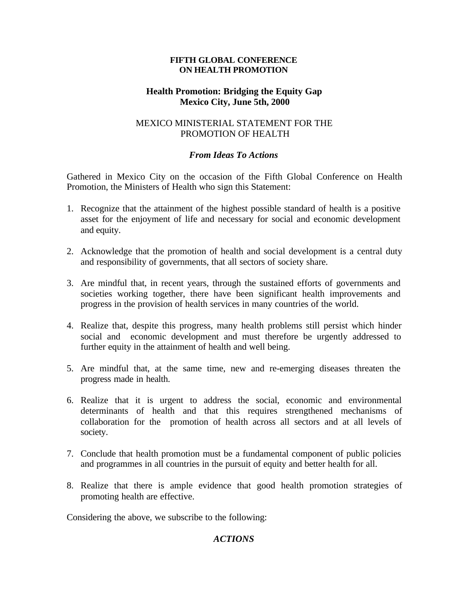#### **FIFTH GLOBAL CONFERENCE ON HEALTH PROMOTION**

#### **Health Promotion: Bridging the Equity Gap Mexico City, June 5th, 2000**

## MEXICO MINISTERIAL STATEMENT FOR THE PROMOTION OF HEALTH

## *From Ideas To Actions*

Gathered in Mexico City on the occasion of the Fifth Global Conference on Health Promotion, the Ministers of Health who sign this Statement:

- 1. Recognize that the attainment of the highest possible standard of health is a positive asset for the enjoyment of life and necessary for social and economic development and equity.
- 2. Acknowledge that the promotion of health and social development is a central duty and responsibility of governments, that all sectors of society share.
- 3. Are mindful that, in recent years, through the sustained efforts of governments and societies working together, there have been significant health improvements and progress in the provision of health services in many countries of the world.
- 4. Realize that, despite this progress, many health problems still persist which hinder social and economic development and must therefore be urgently addressed to further equity in the attainment of health and well being.
- 5. Are mindful that, at the same time, new and re-emerging diseases threaten the progress made in health.
- 6. Realize that it is urgent to address the social, economic and environmental determinants of health and that this requires strengthened mechanisms of collaboration for the promotion of health across all sectors and at all levels of society.
- 7. Conclude that health promotion must be a fundamental component of public policies and programmes in all countries in the pursuit of equity and better health for all.
- 8. Realize that there is ample evidence that good health promotion strategies of promoting health are effective.

Considering the above, we subscribe to the following:

# *ACTIONS*